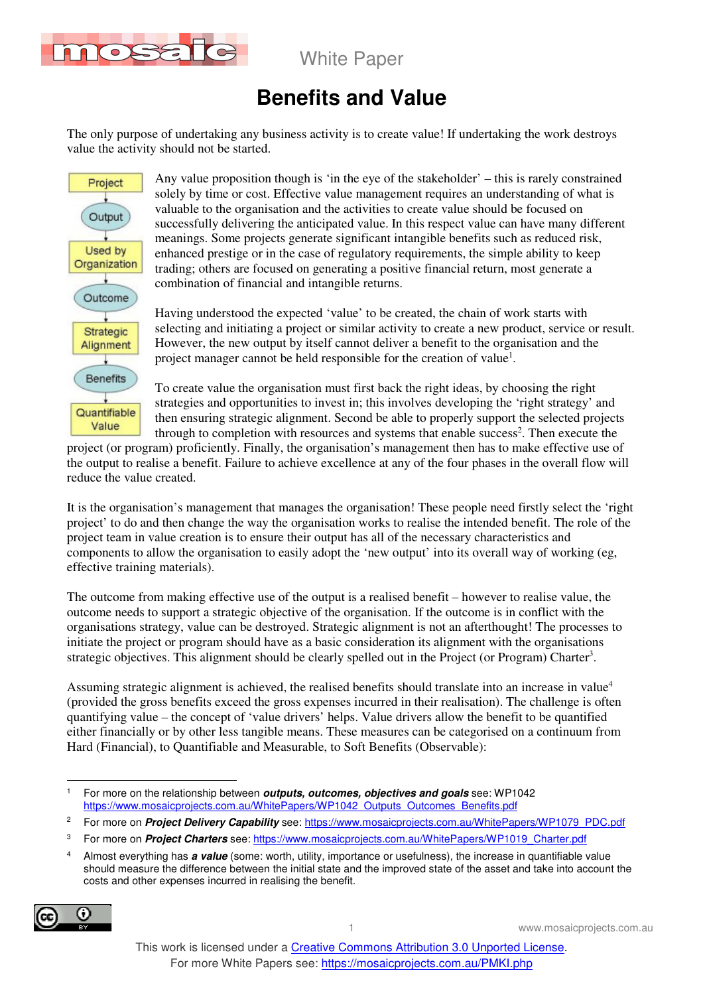

# **Benefits and Value**

The only purpose of undertaking any business activity is to create value! If undertaking the work destroys value the activity should not be started.



Any value proposition though is 'in the eye of the stakeholder' – this is rarely constrained solely by time or cost. Effective value management requires an understanding of what is valuable to the organisation and the activities to create value should be focused on successfully delivering the anticipated value. In this respect value can have many different meanings. Some projects generate significant intangible benefits such as reduced risk, enhanced prestige or in the case of regulatory requirements, the simple ability to keep trading; others are focused on generating a positive financial return, most generate a combination of financial and intangible returns.

Having understood the expected 'value' to be created, the chain of work starts with selecting and initiating a project or similar activity to create a new product, service or result. However, the new output by itself cannot deliver a benefit to the organisation and the project manager cannot be held responsible for the creation of value<sup>1</sup>.

To create value the organisation must first back the right ideas, by choosing the right strategies and opportunities to invest in; this involves developing the 'right strategy' and then ensuring strategic alignment. Second be able to properly support the selected projects through to completion with resources and systems that enable success<sup>2</sup>. Then execute the

project (or program) proficiently. Finally, the organisation's management then has to make effective use of the output to realise a benefit. Failure to achieve excellence at any of the four phases in the overall flow will reduce the value created.

It is the organisation's management that manages the organisation! These people need firstly select the 'right project' to do and then change the way the organisation works to realise the intended benefit. The role of the project team in value creation is to ensure their output has all of the necessary characteristics and components to allow the organisation to easily adopt the 'new output' into its overall way of working (eg, effective training materials).

The outcome from making effective use of the output is a realised benefit – however to realise value, the outcome needs to support a strategic objective of the organisation. If the outcome is in conflict with the organisations strategy, value can be destroyed. Strategic alignment is not an afterthought! The processes to initiate the project or program should have as a basic consideration its alignment with the organisations strategic objectives. This alignment should be clearly spelled out in the Project (or Program) Charter<sup>3</sup>.

Assuming strategic alignment is achieved, the realised benefits should translate into an increase in value<sup>4</sup> (provided the gross benefits exceed the gross expenses incurred in their realisation). The challenge is often quantifying value – the concept of 'value drivers' helps. Value drivers allow the benefit to be quantified either financially or by other less tangible means. These measures can be categorised on a continuum from Hard (Financial), to Quantifiable and Measurable, to Soft Benefits (Observable):

<sup>4</sup> Almost everything has **a value** (some: worth, utility, importance or usefulness), the increase in quantifiable value should measure the difference between the initial state and the improved state of the asset and take into account the costs and other expenses incurred in realising the benefit.



 $\overline{a}$ 1 For more on the relationship between **outputs, outcomes, objectives and goals** see: WP1042 https://www.mosaicprojects.com.au/WhitePapers/WP1042\_Outputs\_Outcomes\_Benefits.pdf

<sup>2</sup> For more on **Project Delivery Capability** see: https://www.mosaicprojects.com.au/WhitePapers/WP1079\_PDC.pdf

<sup>3</sup> For more on **Project Charters** see: https://www.mosaicprojects.com.au/WhitePapers/WP1019\_Charter.pdf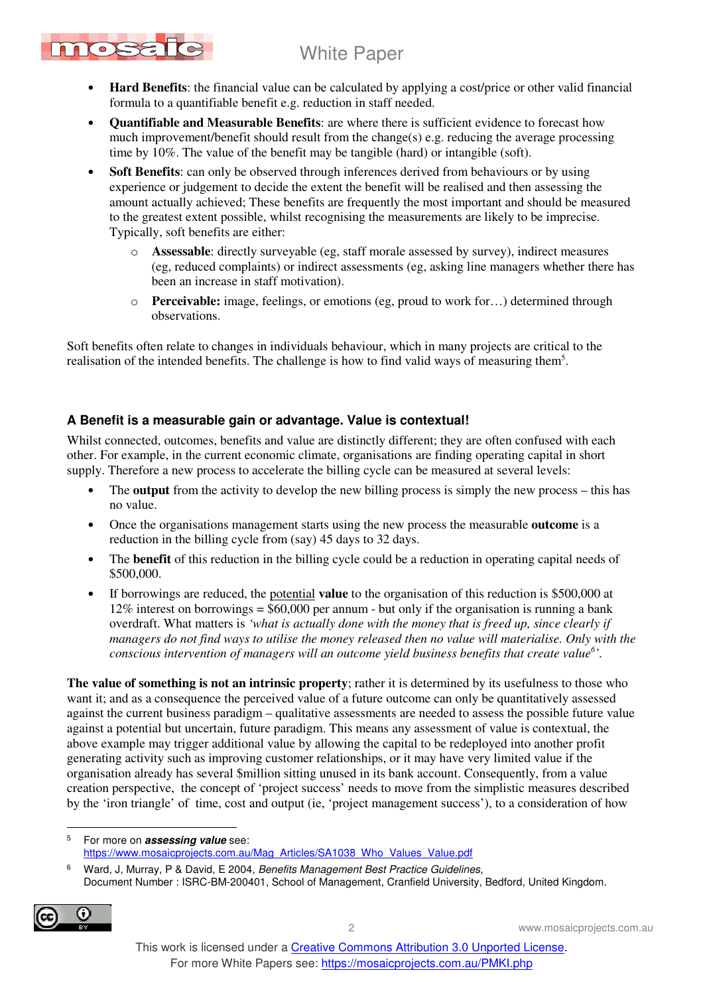- mosa
	- **Hard Benefits**: the financial value can be calculated by applying a cost/price or other valid financial formula to a quantifiable benefit e.g. reduction in staff needed.
	- **Quantifiable and Measurable Benefits**: are where there is sufficient evidence to forecast how much improvement/benefit should result from the change(s) e.g. reducing the average processing time by 10%. The value of the benefit may be tangible (hard) or intangible (soft).
	- **Soft Benefits:** can only be observed through inferences derived from behaviours or by using experience or judgement to decide the extent the benefit will be realised and then assessing the amount actually achieved; These benefits are frequently the most important and should be measured to the greatest extent possible, whilst recognising the measurements are likely to be imprecise. Typically, soft benefits are either:
		- o **Assessable**: directly surveyable (eg, staff morale assessed by survey), indirect measures (eg, reduced complaints) or indirect assessments (eg, asking line managers whether there has been an increase in staff motivation).
		- o **Perceivable:** image, feelings, or emotions (eg, proud to work for…) determined through observations.

Soft benefits often relate to changes in individuals behaviour, which in many projects are critical to the realisation of the intended benefits. The challenge is how to find valid ways of measuring them<sup>5</sup>.

### **A Benefit is a measurable gain or advantage. Value is contextual!**

Whilst connected, outcomes, benefits and value are distinctly different; they are often confused with each other. For example, in the current economic climate, organisations are finding operating capital in short supply. Therefore a new process to accelerate the billing cycle can be measured at several levels:

- The **output** from the activity to develop the new billing process is simply the new process this has no value.
- Once the organisations management starts using the new process the measurable **outcome** is a reduction in the billing cycle from (say) 45 days to 32 days.
- The **benefit** of this reduction in the billing cycle could be a reduction in operating capital needs of \$500,000.
- If borrowings are reduced, the potential **value** to the organisation of this reduction is \$500,000 at 12% interest on borrowings = \$60,000 per annum - but only if the organisation is running a bank overdraft. What matters is *'what is actually done with the money that is freed up, since clearly if managers do not find ways to utilise the money released then no value will materialise. Only with the conscious intervention of managers will an outcome yield business benefits that create value<sup>6</sup> '.*

**The value of something is not an intrinsic property**; rather it is determined by its usefulness to those who want it; and as a consequence the perceived value of a future outcome can only be quantitatively assessed against the current business paradigm – qualitative assessments are needed to assess the possible future value against a potential but uncertain, future paradigm. This means any assessment of value is contextual, the above example may trigger additional value by allowing the capital to be redeployed into another profit generating activity such as improving customer relationships, or it may have very limited value if the organisation already has several \$million sitting unused in its bank account. Consequently, from a value creation perspective, the concept of 'project success' needs to move from the simplistic measures described by the 'iron triangle' of time, cost and output (ie, 'project management success'), to a consideration of how

<sup>&</sup>lt;sup>6</sup> Ward, J, Murray, P & David, E 2004, Benefits Management Best Practice Guidelines, Document Number : ISRC-BM-200401, School of Management, Cranfield University, Bedford, United Kingdom.



 $\overline{a}$ 

<sup>5</sup> For more on **assessing value** see: https://www.mosaicprojects.com.au/Mag\_Articles/SA1038\_Who\_Values\_Value.pdf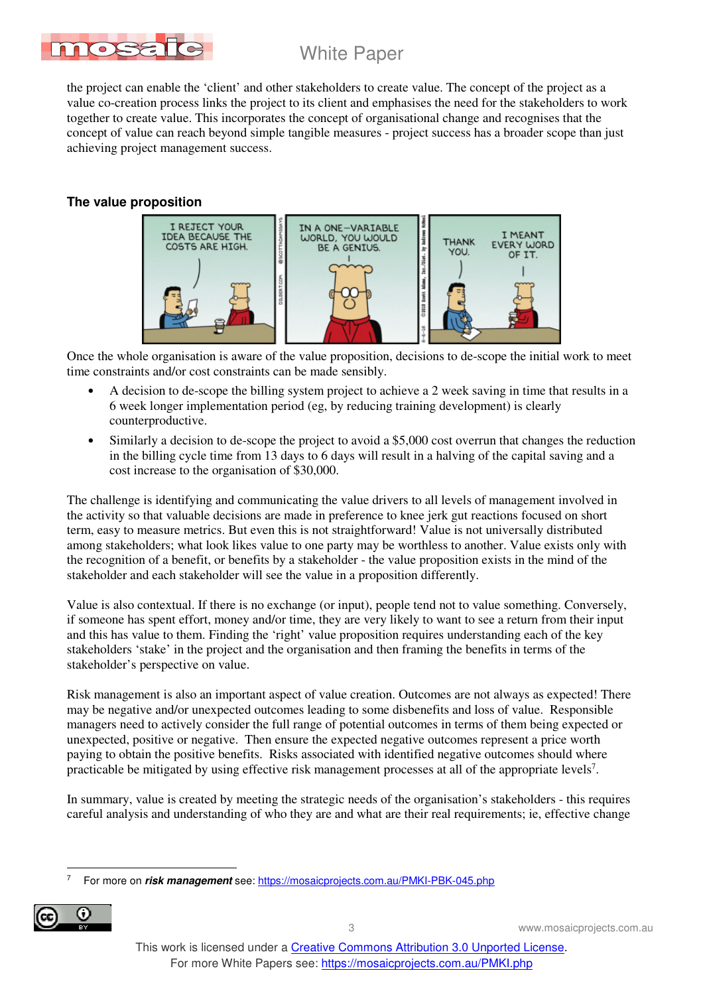

the project can enable the 'client' and other stakeholders to create value. The concept of the project as a value co-creation process links the project to its client and emphasises the need for the stakeholders to work together to create value. This incorporates the concept of organisational change and recognises that the concept of value can reach beyond simple tangible measures - project success has a broader scope than just achieving project management success.

#### **The value proposition**



Once the whole organisation is aware of the value proposition, decisions to de-scope the initial work to meet time constraints and/or cost constraints can be made sensibly.

- A decision to de-scope the billing system project to achieve a 2 week saving in time that results in a 6 week longer implementation period (eg, by reducing training development) is clearly counterproductive.
- Similarly a decision to de-scope the project to avoid a \$5,000 cost overrun that changes the reduction in the billing cycle time from 13 days to 6 days will result in a halving of the capital saving and a cost increase to the organisation of \$30,000.

The challenge is identifying and communicating the value drivers to all levels of management involved in the activity so that valuable decisions are made in preference to knee jerk gut reactions focused on short term, easy to measure metrics. But even this is not straightforward! Value is not universally distributed among stakeholders; what look likes value to one party may be worthless to another. Value exists only with the recognition of a benefit, or benefits by a stakeholder - the value proposition exists in the mind of the stakeholder and each stakeholder will see the value in a proposition differently.

Value is also contextual. If there is no exchange (or input), people tend not to value something. Conversely, if someone has spent effort, money and/or time, they are very likely to want to see a return from their input and this has value to them. Finding the 'right' value proposition requires understanding each of the key stakeholders 'stake' in the project and the organisation and then framing the benefits in terms of the stakeholder's perspective on value.

Risk management is also an important aspect of value creation. Outcomes are not always as expected! There may be negative and/or unexpected outcomes leading to some disbenefits and loss of value. Responsible managers need to actively consider the full range of potential outcomes in terms of them being expected or unexpected, positive or negative. Then ensure the expected negative outcomes represent a price worth paying to obtain the positive benefits. Risks associated with identified negative outcomes should where practicable be mitigated by using effective risk management processes at all of the appropriate levels<sup>7</sup>.

In summary, value is created by meeting the strategic needs of the organisation's stakeholders - this requires careful analysis and understanding of who they are and what are their real requirements; ie, effective change

 $\overline{a}$ 7 For more on **risk management** see: https://mosaicprojects.com.au/PMKI-PBK-045.php



This work is licensed under a Creative Commons Attribution 3.0 Unported License. For more White Papers see: https://mosaicprojects.com.au/PMKI.php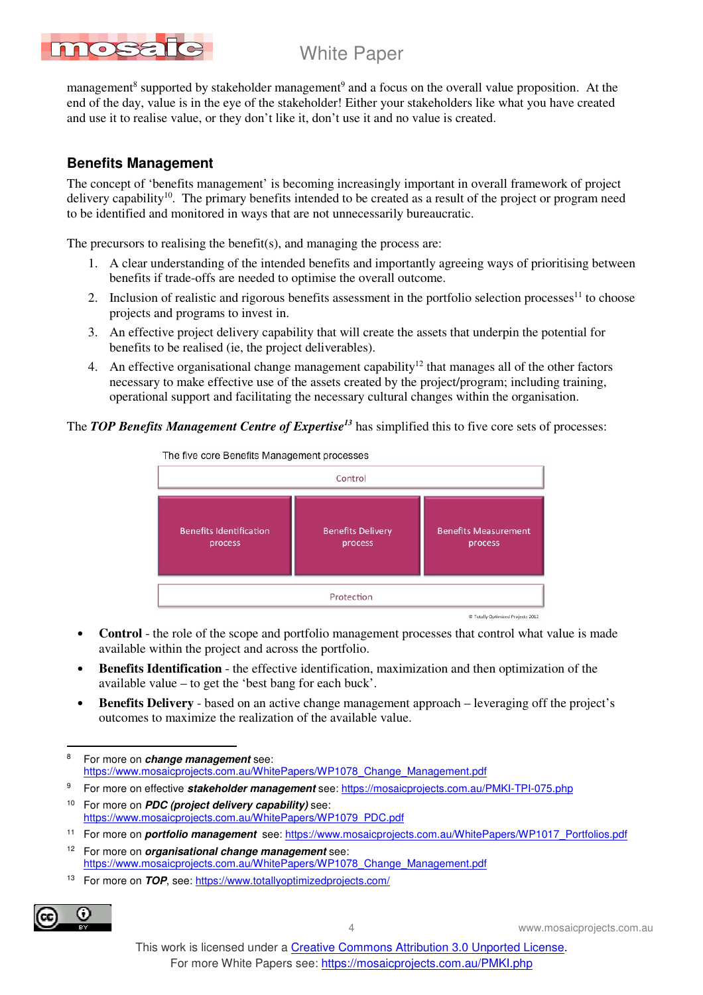management<sup>8</sup> supported by stakeholder management<sup>9</sup> and a focus on the overall value proposition. At the end of the day, value is in the eye of the stakeholder! Either your stakeholders like what you have created and use it to realise value, or they don't like it, don't use it and no value is created.

#### **Benefits Management**

mosaid

The concept of 'benefits management' is becoming increasingly important in overall framework of project delivery capability<sup>10</sup>. The primary benefits intended to be created as a result of the project or program need to be identified and monitored in ways that are not unnecessarily bureaucratic.

The precursors to realising the benefit(s), and managing the process are:

- 1. A clear understanding of the intended benefits and importantly agreeing ways of prioritising between benefits if trade-offs are needed to optimise the overall outcome.
- 2. Inclusion of realistic and rigorous benefits assessment in the portfolio selection processes<sup>11</sup> to choose projects and programs to invest in.
- 3. An effective project delivery capability that will create the assets that underpin the potential for benefits to be realised (ie, the project deliverables).
- 4. An effective organisational change management capability<sup>12</sup> that manages all of the other factors necessary to make effective use of the assets created by the project/program; including training, operational support and facilitating the necessary cultural changes within the organisation.

### The *TOP Benefits Management Centre of Expertise<sup>13</sup>* has simplified this to five core sets of processes:



- **Control** the role of the scope and portfolio management processes that control what value is made available within the project and across the portfolio.
- **Benefits Identification** the effective identification, maximization and then optimization of the available value – to get the 'best bang for each buck'.
- **Benefits Delivery** based on an active change management approach leveraging off the project's outcomes to maximize the realization of the available value.

- 9 For more on effective **stakeholder management** see: https://mosaicprojects.com.au/PMKI-TPI-075.php
- <sup>10</sup> For more on **PDC (project delivery capability)** see: https://www.mosaicprojects.com.au/WhitePapers/WP1079\_PDC.pdf
- <sup>11</sup> For more on **portfolio management** see: https://www.mosaicprojects.com.au/WhitePapers/WP1017\_Portfolios.pdf
- <sup>12</sup> For more on **organisational change management** see: https://www.mosaicprojects.com.au/WhitePapers/WP1078\_Change\_Management.pdf
- 13 For more on **TOP**, see: https://www.totallyoptimizedprojects.com/



4 www.mosaicprojects.com.au

 8 For more on **change management** see: https://www.mosaicprojects.com.au/WhitePapers/WP1078\_Change\_Management.pdf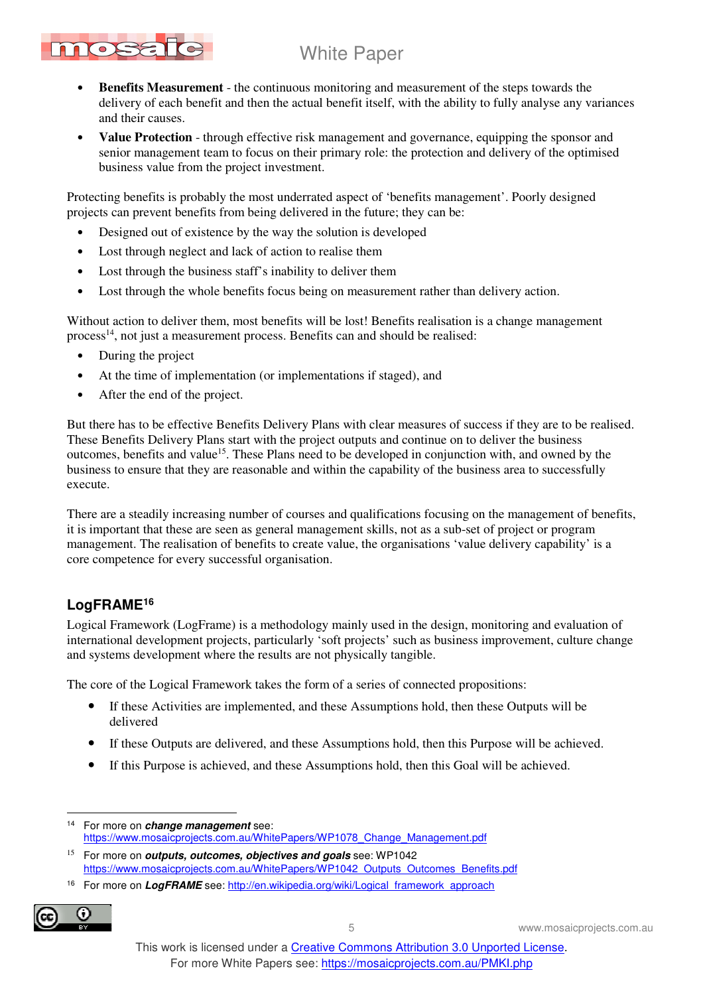- mosa
	- **Benefits Measurement** the continuous monitoring and measurement of the steps towards the delivery of each benefit and then the actual benefit itself, with the ability to fully analyse any variances and their causes.
	- **Value Protection** through effective risk management and governance, equipping the sponsor and senior management team to focus on their primary role: the protection and delivery of the optimised business value from the project investment.

Protecting benefits is probably the most underrated aspect of 'benefits management'. Poorly designed projects can prevent benefits from being delivered in the future; they can be:

- Designed out of existence by the way the solution is developed
- Lost through neglect and lack of action to realise them
- Lost through the business staff's inability to deliver them
- Lost through the whole benefits focus being on measurement rather than delivery action.

Without action to deliver them, most benefits will be lost! Benefits realisation is a change management process<sup>14</sup>, not just a measurement process. Benefits can and should be realised:

- During the project
- At the time of implementation (or implementations if staged), and
- After the end of the project.

But there has to be effective Benefits Delivery Plans with clear measures of success if they are to be realised. These Benefits Delivery Plans start with the project outputs and continue on to deliver the business outcomes, benefits and value<sup>15</sup>. These Plans need to be developed in conjunction with, and owned by the business to ensure that they are reasonable and within the capability of the business area to successfully execute.

There are a steadily increasing number of courses and qualifications focusing on the management of benefits, it is important that these are seen as general management skills, not as a sub-set of project or program management. The realisation of benefits to create value, the organisations 'value delivery capability' is a core competence for every successful organisation.

## **LogFRAME<sup>16</sup>**

Logical Framework (LogFrame) is a methodology mainly used in the design, monitoring and evaluation of international development projects, particularly 'soft projects' such as business improvement, culture change and systems development where the results are not physically tangible.

The core of the Logical Framework takes the form of a series of connected propositions:

- If these Activities are implemented, and these Assumptions hold, then these Outputs will be delivered
- If these Outputs are delivered, and these Assumptions hold, then this Purpose will be achieved.
- If this Purpose is achieved, and these Assumptions hold, then this Goal will be achieved.

<sup>&</sup>lt;sup>16</sup> For more on LogFRAME see: http://en.wikipedia.org/wiki/Logical\_framework\_approach



5 www.mosaicprojects.com.au

 $\overline{a}$ <sup>14</sup> For more on **change management** see: https://www.mosaicprojects.com.au/WhitePapers/WP1078\_Change\_Management.pdf

<sup>15</sup> For more on **outputs, outcomes, objectives and goals** see: WP1042 https://www.mosaicprojects.com.au/WhitePapers/WP1042\_Outputs\_Outcomes\_Benefits.pdf